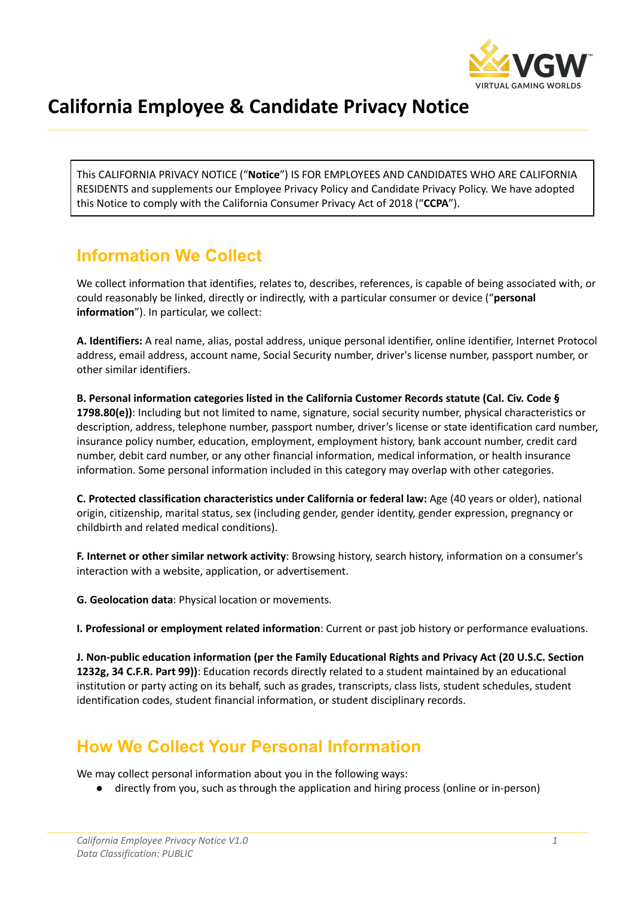

# **California Employee & Candidate Privacy Notice**

This CALIFORNIA PRIVACY NOTICE ("**Notice**") IS FOR EMPLOYEES AND CANDIDATES WHO ARE CALIFORNIA RESIDENTS and supplements our Employee Privacy Policy and Candidate Privacy Policy. We have adopted this Notice to comply with the California Consumer Privacy Act of 2018 ("**CCPA**").

### **Information We Collect**

We collect information that identifies, relates to, describes, references, is capable of being associated with, or could reasonably be linked, directly or indirectly, with a particular consumer or device ("**personal information**"). In particular, we collect:

**A. Identifiers:** A real name, alias, postal address, unique personal identifier, online identifier, Internet Protocol address, email address, account name, Social Security number, driver's license number, passport number, or other similar identifiers.

**B. Personal information categories listed in the California Customer Records statute (Cal. Civ. Code § 1798.80(e))**: Including but not limited to name, signature, social security number, physical characteristics or description, address, telephone number, passport number, driver's license or state identification card number, insurance policy number, education, employment, employment history, bank account number, credit card number, debit card number, or any other financial information, medical information, or health insurance information. Some personal information included in this category may overlap with other categories.

**C. Protected classification characteristics under California or federal law:** Age (40 years or older), national origin, citizenship, marital status, sex (including gender, gender identity, gender expression, pregnancy or childbirth and related medical conditions).

**F. Internet or other similar network activity**: Browsing history, search history, information on a consumer's interaction with a website, application, or advertisement.

**G. Geolocation data**: Physical location or movements.

**I. Professional or employment related information**: Current or past job history or performance evaluations.

**J. Non-public education information (per the Family Educational Rights and Privacy Act (20 U.S.C. Section 1232g, 34 C.F.R. Part 99))**: Education records directly related to a student maintained by an educational institution or party acting on its behalf, such as grades, transcripts, class lists, student schedules, student identification codes, student financial information, or student disciplinary records.

### **How We Collect Your Personal Information**

We may collect personal information about you in the following ways:

● directly from you, such as through the application and hiring process (online or in-person)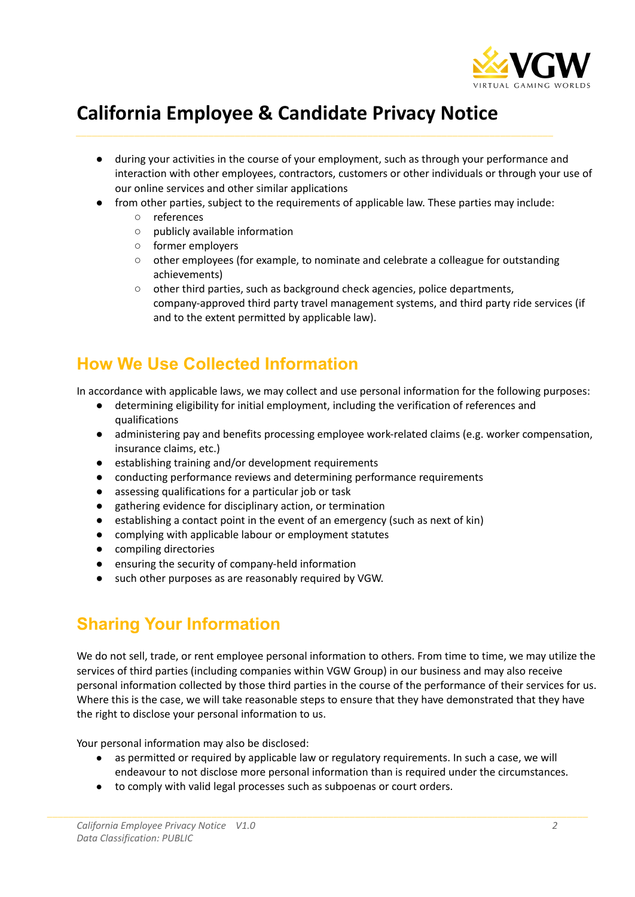

## **California Employee & Candidate Privacy Notice**

- during your activities in the course of your employment, such as through your performance and interaction with other employees, contractors, customers or other individuals or through your use of our online services and other similar applications
- from other parties, subject to the requirements of applicable law. These parties may include:
	- references
	- publicly available information
	- former employers
	- other employees (for example, to nominate and celebrate a colleague for outstanding achievements)
	- other third parties, such as background check agencies, police departments, company-approved third party travel management systems, and third party ride services (if and to the extent permitted by applicable law).

## **How We Use Collected Information**

In accordance with applicable laws, we may collect and use personal information for the following purposes:

- determining eligibility for initial employment, including the verification of references and qualifications
- administering pay and benefits processing employee work-related claims (e.g. worker compensation, insurance claims, etc.)
- establishing training and/or development requirements
- conducting performance reviews and determining performance requirements
- assessing qualifications for a particular job or task
- gathering evidence for disciplinary action, or termination
- establishing a contact point in the event of an emergency (such as next of kin)
- complying with applicable labour or employment statutes
- compiling directories
- ensuring the security of company-held information
- such other purposes as are reasonably required by VGW.

### **Sharing Your Information**

We do not sell, trade, or rent employee personal information to others. From time to time, we may utilize the services of third parties (including companies within VGW Group) in our business and may also receive personal information collected by those third parties in the course of the performance of their services for us. Where this is the case, we will take reasonable steps to ensure that they have demonstrated that they have the right to disclose your personal information to us.

Your personal information may also be disclosed:

- as permitted or required by applicable law or regulatory requirements. In such a case, we will endeavour to not disclose more personal information than is required under the circumstances.
- to comply with valid legal processes such as subpoenas or court orders.